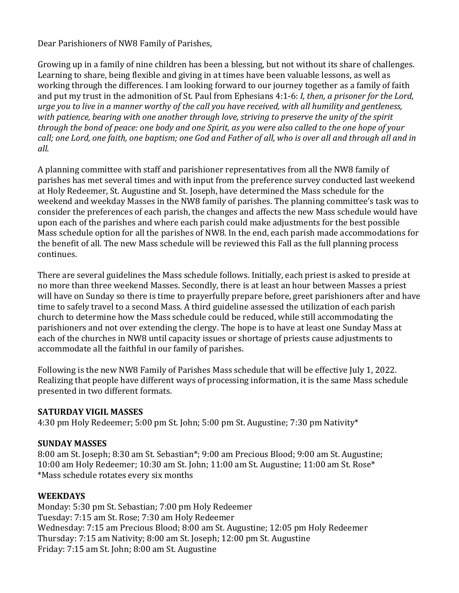Dear Parishioners of NW8 Family of Parishes,

Growing up in a family of nine children has been a blessing, but not without its share of challenges. Learning to share, being flexible and giving in at times have been valuable lessons, as well as working through the differences. I am looking forward to our journey together as a family of faith and put my trust in the admonition of St. Paul from Ephesians 4:1-6: *I, then, a prisoner for the Lord, urge you to live in a manner worthy of the call you have received, with all humility and gentleness, with patience, bearing with one another through love, striving to preserve the unity of the spirit through the bond of peace: one body and one Spirit, as you were also called to the one hope of your call; one Lord, one faith, one baptism; one God and Father of all, who is over all and through all and in all.*

A planning committee with staff and parishioner representatives from all the NW8 family of parishes has met several times and with input from the preference survey conducted last weekend at Holy Redeemer, St. Augustine and St. Joseph, have determined the Mass schedule for the weekend and weekday Masses in the NW8 family of parishes. The planning committee's task was to consider the preferences of each parish, the changes and affects the new Mass schedule would have upon each of the parishes and where each parish could make adjustments for the best possible Mass schedule option for all the parishes of NW8. In the end, each parish made accommodations for the benefit of all. The new Mass schedule will be reviewed this Fall as the full planning process continues.

There are several guidelines the Mass schedule follows. Initially, each priest is asked to preside at no more than three weekend Masses. Secondly, there is at least an hour between Masses a priest will have on Sunday so there is time to prayerfully prepare before, greet parishioners after and have time to safely travel to a second Mass. A third guideline assessed the utilization of each parish church to determine how the Mass schedule could be reduced, while still accommodating the parishioners and not over extending the clergy. The hope is to have at least one Sunday Mass at each of the churches in NW8 until capacity issues or shortage of priests cause adjustments to accommodate all the faithful in our family of parishes.

Following is the new NW8 Family of Parishes Mass schedule that will be effective July 1, 2022. Realizing that people have different ways of processing information, it is the same Mass schedule presented in two different formats.

## **SATURDAY VIGIL MASSES**

4:30 pm Holy Redeemer; 5:00 pm St. John; 5:00 pm St. Augustine; 7:30 pm Nativity\*

## **SUNDAY MASSES**

8:00 am St. Joseph; 8:30 am St. Sebastian\*; 9:00 am Precious Blood; 9:00 am St. Augustine; 10:00 am Holy Redeemer; 10:30 am St. John; 11:00 am St. Augustine; 11:00 am St. Rose\* \*Mass schedule rotates every six months

## **WEEKDAYS**

Monday: 5:30 pm St. Sebastian; 7:00 pm Holy Redeemer Tuesday: 7:15 am St. Rose; 7:30 am Holy Redeemer Wednesday: 7:15 am Precious Blood; 8:00 am St. Augustine; 12:05 pm Holy Redeemer Thursday: 7:15 am Nativity; 8:00 am St. Joseph; 12:00 pm St. Augustine Friday: 7:15 am St. John; 8:00 am St. Augustine